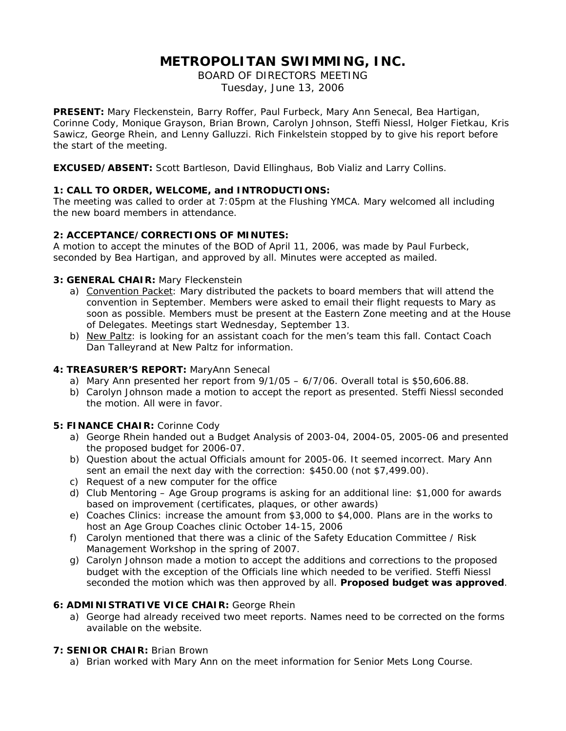# **METROPOLITAN SWIMMING, INC.**

BOARD OF DIRECTORS MEETING Tuesday, June 13, 2006

**PRESENT:** Mary Fleckenstein, Barry Roffer, Paul Furbeck, Mary Ann Senecal, Bea Hartigan, Corinne Cody, Monique Grayson, Brian Brown, Carolyn Johnson, Steffi Niessl, Holger Fietkau, Kris Sawicz, George Rhein, and Lenny Galluzzi. Rich Finkelstein stopped by to give his report before the start of the meeting.

**EXCUSED/ABSENT:** Scott Bartleson, David Ellinghaus, Bob Vializ and Larry Collins.

# **1: CALL TO ORDER, WELCOME, and INTRODUCTIONS:**

The meeting was called to order at 7:05pm at the Flushing YMCA. Mary welcomed all including the new board members in attendance.

# **2: ACCEPTANCE/CORRECTIONS OF MINUTES:**

A motion to accept the minutes of the BOD of April 11, 2006, was made by Paul Furbeck, seconded by Bea Hartigan, and approved by all. Minutes were accepted as mailed.

# **3: GENERAL CHAIR:** Mary Fleckenstein

- a) Convention Packet: Mary distributed the packets to board members that will attend the convention in September. Members were asked to email their flight requests to Mary as soon as possible. Members must be present at the Eastern Zone meeting and at the House of Delegates. Meetings start Wednesday, September 13.
- b) New Paltz: is looking for an assistant coach for the men's team this fall. Contact Coach Dan Talleyrand at New Paltz for information.

### **4: TREASURER'S REPORT:** MaryAnn Senecal

- a) Mary Ann presented her report from 9/1/05 6/7/06. Overall total is \$50,606.88.
- b) Carolyn Johnson made a motion to accept the report as presented. Steffi Niessl seconded the motion. All were in favor.

# **5: FINANCE CHAIR:** Corinne Cody

- a) George Rhein handed out a Budget Analysis of 2003-04, 2004-05, 2005-06 and presented the proposed budget for 2006-07.
- *b)* Question about the actual Officials amount for 2005-06. It seemed incorrect. *Mary Ann sent an email the next day with the correction: \$450.00 (not \$7,499.00).*
- c) Request of a new computer for the office
- d) Club Mentoring Age Group programs is asking for an additional line: \$1,000 for awards based on improvement (certificates, plaques, or other awards)
- e) Coaches Clinics: increase the amount from \$3,000 to \$4,000. Plans are in the works to host an Age Group Coaches clinic October 14-15, 2006
- f) Carolyn mentioned that there was a clinic of the Safety Education Committee / Risk Management Workshop in the spring of 2007.
- g) Carolyn Johnson made a motion to accept the additions and corrections to the proposed budget with the exception of the Officials line which needed to be verified. Steffi Niessl seconded the motion which was then approved by all. **Proposed budget was approved**.

### **6: ADMINISTRATIVE VICE CHAIR:** George Rhein

a) George had already received two meet reports. Names need to be corrected on the forms available on the website.

### **7: SENIOR CHAIR:** Brian Brown

a) Brian worked with Mary Ann on the meet information for Senior Mets Long Course.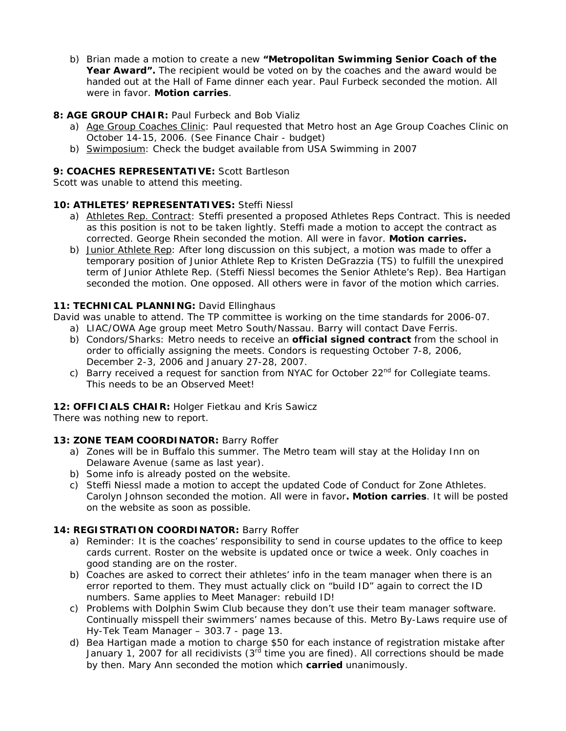b) Brian made a motion to create a new **"***Metropolitan Swimming Senior Coach of the Year Award"***.** The recipient would be voted on by the coaches and the award would be handed out at the Hall of Fame dinner each year. Paul Furbeck seconded the motion. All were in favor. **Motion carries**.

# **8: AGE GROUP CHAIR: Paul Furbeck and Bob Vializ**

- a) Age Group Coaches Clinic: Paul requested that Metro host an Age Group Coaches Clinic on October 14-15, 2006. (See Finance Chair - budget)
- b) Swimposium: Check the budget available from USA Swimming in 2007

### **9: COACHES REPRESENTATIVE:** Scott Bartleson

Scott was unable to attend this meeting.

# **10: ATHLETES' REPRESENTATIVES:** Steffi Niessl

- a) Athletes Rep. Contract: Steffi presented a proposed Athletes Reps Contract. This is needed as this position is not to be taken lightly. Steffi made a motion to accept the contract as corrected. George Rhein seconded the motion. All were in favor. **Motion carries.**
- b) Junior Athlete Rep: After long discussion on this subject, a motion was made to offer a temporary position of Junior Athlete Rep to Kristen DeGrazzia (TS) to fulfill the unexpired term of Junior Athlete Rep. (Steffi Niessl becomes the Senior Athlete's Rep). Bea Hartigan seconded the motion. One opposed. All others were in favor of the motion which carries.

# **11: TECHNICAL PLANNING:** David Ellinghaus

David was unable to attend. The TP committee is working on the time standards for 2006-07.

- a) LIAC/OWA Age group meet Metro South/Nassau. Barry will contact Dave Ferris. b) Condors/Sharks: Metro needs to receive an **official signed contract** from the school in
- order to officially assigning the meets. Condors is requesting October 7-8, 2006, December 2-3, 2006 and January 27-28, 2007.
- c) Barry received a request for sanction from NYAC for October  $22<sup>nd</sup>$  for Collegiate teams. This needs to be an Observed Meet!

# **12: OFFICIALS CHAIR:** Holger Fietkau and Kris Sawicz

There was nothing new to report.

# 13: **ZONE TEAM COORDINATOR: Barry Roffer**

- a) Zones will be in Buffalo this summer. The Metro team will stay at the Holiday Inn on Delaware Avenue (same as last year).
- b) Some info is already posted on the website.
- c) Steffi Niessl made a motion to accept the updated Code of Conduct for Zone Athletes. Carolyn Johnson seconded the motion. All were in favor**. Motion carries**. It will be posted on the website as soon as possible.

# **14: REGISTRATION COORDINATOR:** Barry Roffer

- a) Reminder: It is the coaches' responsibility to send in course updates to the office to keep cards current. Roster on the website is updated once or twice a week. Only coaches in good standing are on the roster.
- b) Coaches are asked to correct their athletes' info in the team manager when there is an error reported to them. They must actually click on "build ID" again to correct the ID numbers. Same applies to Meet Manager: rebuild ID!
- c) Problems with Dolphin Swim Club because they don't use their team manager software. Continually misspell their swimmers' names because of this. Metro By-Laws require use of Hy-Tek Team Manager – 303.7 - page 13.
- d) Bea Hartigan made a motion to charge \$50 for each instance of registration mistake after January 1, 2007 for all recidivists  $(3<sup>rd</sup>$  time you are fined). All corrections should be made by then. Mary Ann seconded the motion which **carried** unanimously.